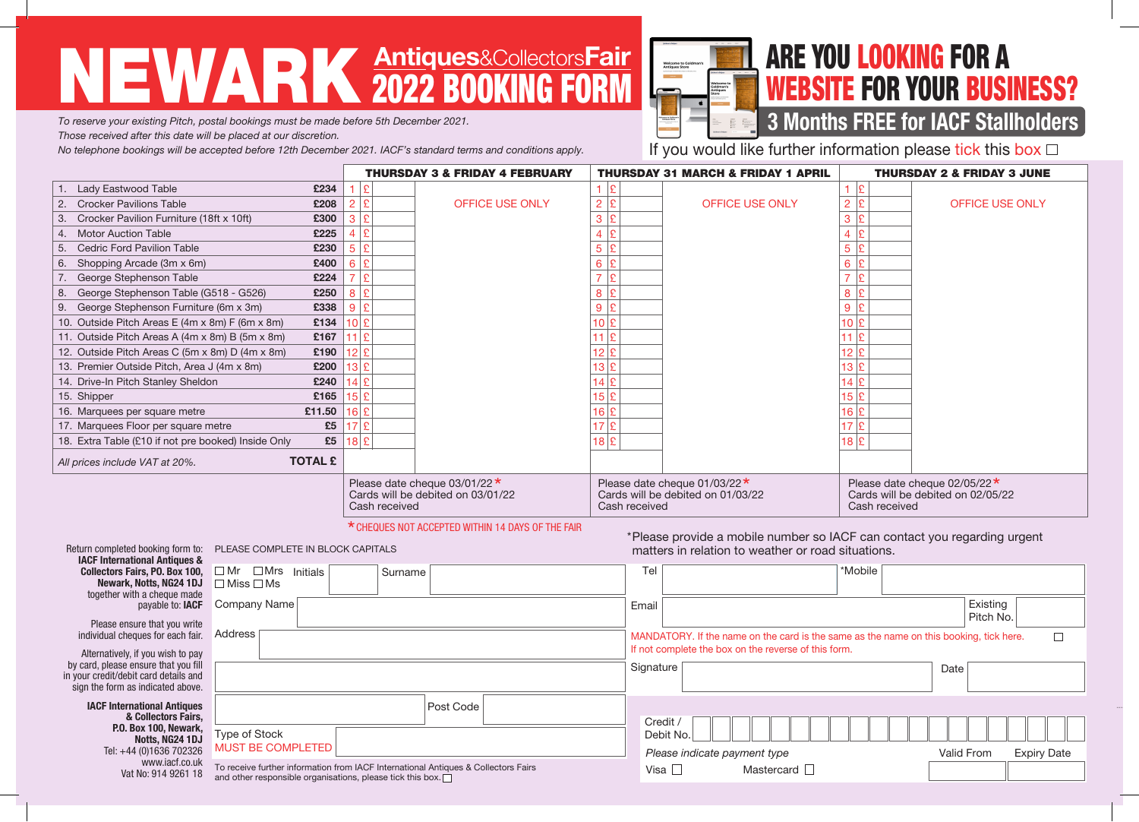# NEWARK Antiques&CollectorsFair 2022 BOOKING FORM



### ARE YOU LOOKING FOR A WEBSITE FOR YOUR BUSINESS?

#### **3 Months FREE for IACF Stallholders**

*To reserve your existing Pitch, postal bookings must be made before 5th December 2021.*

*Those received after this date will be placed at our discretion.* 

*No telephone bookings will be accepted before 12th December 2021. IACF's standard terms and conditions apply.*

If you would like further information please tick this box  $\Box$ 

\*Please provide a mobile number so IACF can contact you regarding urgent

matters in relation to weather or road situations.

|                                                           | <b>THURSDAY 3 &amp; FRIDAY 4 FEBRUARY</b>                                                                                                        | <b>THURSDAY 31 MARCH &amp; FRIDAY 1 APRIL</b>                                             | <b>THURSDAY 2 &amp; FRIDAY 3 JUNE</b>                                                     |  |
|-----------------------------------------------------------|--------------------------------------------------------------------------------------------------------------------------------------------------|-------------------------------------------------------------------------------------------|-------------------------------------------------------------------------------------------|--|
| Lady Eastwood Table<br>£234                               |                                                                                                                                                  |                                                                                           |                                                                                           |  |
| <b>Crocker Pavilions Table</b><br>£208<br>2.              | OFFICE USE ONLY<br>£                                                                                                                             | <b>OFFICE USE ONLY</b>                                                                    | <b>OFFICE USE ONLY</b>                                                                    |  |
| Crocker Pavilion Furniture (18ft x 10ft)<br>£300<br>3.    | ١£<br>3                                                                                                                                          |                                                                                           |                                                                                           |  |
| £225<br><b>Motor Auction Table</b><br>4.                  | ١£                                                                                                                                               |                                                                                           |                                                                                           |  |
| £230<br><b>Cedric Ford Pavilion Table</b><br>5.           | $\mathbf C$                                                                                                                                      |                                                                                           |                                                                                           |  |
| £400<br>Shopping Arcade (3m x 6m)<br>6.                   |                                                                                                                                                  | 6                                                                                         | 6                                                                                         |  |
| £224<br>George Stephenson Table                           | $\mathbf{C}$                                                                                                                                     |                                                                                           |                                                                                           |  |
| George Stephenson Table (G518 - G526)<br>£250<br>8.       | 8.                                                                                                                                               |                                                                                           |                                                                                           |  |
| £338<br>George Stephenson Furniture (6m x 3m)<br>9.       | ١£<br>9                                                                                                                                          | 9                                                                                         | $\mathbf{Q}$                                                                              |  |
| £134<br>10. Outside Pitch Areas E (4m x 8m) F (6m x 8m)   | 10E                                                                                                                                              | 10 $\mathbf{E}$                                                                           | 10 $\vert$ £                                                                              |  |
| £167<br>11. Outside Pitch Areas A (4m x 8m) B (5m x 8m)   | $11$ <u><math>E</math></u>                                                                                                                       | $11$ $E$                                                                                  |                                                                                           |  |
| £190<br>12. Outside Pitch Areas C (5m x 8m) D (4m x 8m)   | 12 E                                                                                                                                             | 12 E                                                                                      | 12.                                                                                       |  |
| £200<br>13. Premier Outside Pitch, Area J (4m x 8m)       | 13 E                                                                                                                                             | 13 E                                                                                      | 13 I£                                                                                     |  |
| £240<br>14. Drive-In Pitch Stanley Sheldon                | $4$ £                                                                                                                                            | 14 E                                                                                      |                                                                                           |  |
| £165<br>15. Shipper                                       | 15 E                                                                                                                                             | 15 E                                                                                      | $15 \, \mathrm{\rvert}$ £                                                                 |  |
| £11.50<br>16. Marquees per square metre                   | 16 E                                                                                                                                             | 16 E                                                                                      | $16 \, \mathrm{E}$                                                                        |  |
| £5<br>17. Marquees Floor per square metre                 | ١ç                                                                                                                                               | 17 £                                                                                      | 17E                                                                                       |  |
| £5<br>18. Extra Table (£10 if not pre booked) Inside Only | 18 E                                                                                                                                             | $18$ $E$                                                                                  | $18$ $E$                                                                                  |  |
| <b>TOTAL £</b><br>All prices include VAT at 20%.          |                                                                                                                                                  |                                                                                           |                                                                                           |  |
|                                                           | Please date cheque $03/01/22 \star$<br>Cards will be debited on 03/01/22<br>Cash received<br>X CUEQUES NOT ACCEDIED WITHIN 1.4 DAVS OF THE EAID. | Please date cheque $01/03/22 \star$<br>Cards will be debited on 01/03/22<br>Cash received | Please date cheque $02/05/22 \star$<br>Cards will be debited on 02/05/22<br>Cash received |  |

#### CHEQUES NOT ACCEPTED WITHIN 14 DAYS OF THE FAIR

Return completed booking form to: PLEASE COMPLETE IN BLOCK CAPITALS **IACF International Collectors Fairs,** Newark, Nott together with a c paya

Please ensure th individual cheques

Alternatively, if you by card, please ensure in your credit/debit car sign the form as indi

> **IACF Internation** & Colle **P.O. Box 1 Nott** Tel:  $+44(0)1$ ww<br>:Vat No

| national Antiques &                              |                                                                                    |           |             |                                                                                        |         |            |                    |  |
|--------------------------------------------------|------------------------------------------------------------------------------------|-----------|-------------|----------------------------------------------------------------------------------------|---------|------------|--------------------|--|
|                                                  | Fairs, PO. Box 100, $\Box$ Mr $\Box$ Mrs Initials<br>Surname                       |           | Tel         |                                                                                        | *Mobile |            |                    |  |
| rk, Notts, NG24 1DJ<br>with a cheque made        | $\Box$ Miss $\Box$ Ms                                                              |           |             |                                                                                        |         |            |                    |  |
| payable to: IACF                                 | Company Name                                                                       |           | Email       |                                                                                        |         | Existing   |                    |  |
| ensure that you write                            |                                                                                    |           |             |                                                                                        |         | Pitch No.  |                    |  |
| heques for each fair.                            | Address                                                                            |           |             | MANDATORY. If the name on the card is the same as the name on this booking, tick here. |         |            |                    |  |
| ly, if you wish to pay                           |                                                                                    |           |             | If not complete the box on the reverse of this form.                                   |         |            |                    |  |
| e ensure that you fill<br>lebit card details and |                                                                                    |           | Signature   |                                                                                        |         | Date       |                    |  |
| as indicated above.                              |                                                                                    |           |             |                                                                                        |         |            |                    |  |
| ernational Antiques                              |                                                                                    | Post Code |             |                                                                                        |         |            |                    |  |
| & Collectors Fairs,                              |                                                                                    |           | Credit /    |                                                                                        |         |            |                    |  |
| 0. Box 100, Newark,<br>Notts, NG24 1DJ           | Type of Stock                                                                      |           |             | Debit No.                                                                              |         |            |                    |  |
| +44 (0)1636 702326                               | <b>MUST BE COMPLETED</b>                                                           |           |             | Please indicate payment type                                                           |         | Valid From | <b>Expiry Date</b> |  |
| www.jacf.co.uk<br>Vat No: 914 9261 18            | To receive further information from IACF International Antiques & Collectors Fairs |           | Visa $\Box$ | Mastercard $\Box$                                                                      |         |            |                    |  |
|                                                  | and other responsible organisations, please tick this box. $\Box$                  |           |             |                                                                                        |         |            |                    |  |